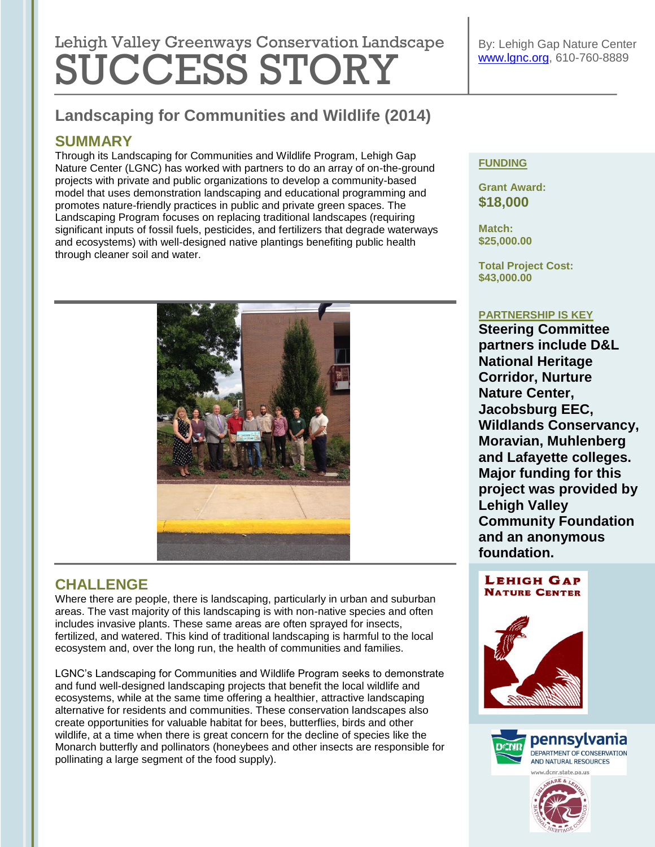# Lehigh Valley Greenways Conservation Landscape SUCCESS STORY

# **Landscaping for Communities and Wildlife (2014)**

## **SUMMARY**

and ecosystems) with well-designed native plantings benefiting public health<br>through cleaner soil and water Through its Landscaping for Communities and Wildlife Program, Lehigh Gap Nature Center (LGNC) has worked with partners to do an array of on-the-ground projects with private and public organizations to develop a community-based model that uses demonstration landscaping and educational programming and promotes nature-friendly practices in public and private green spaces. The Landscaping Program focuses on replacing traditional landscapes (requiring significant inputs of fossil fuels, pesticides, and fertilizers that degrade waterways through cleaner soil and water.



# **CHALLENGE**

Where there are people, there is landscaping, particularly in urban and suburban areas. The vast majority of this landscaping is with non-native species and often includes invasive plants. These same areas are often sprayed for insects, fertilized, and watered. This kind of traditional landscaping is harmful to the local ecosystem and, over the long run, the health of communities and families.

LGNC's Landscaping for Communities and Wildlife Program seeks to demonstrate and fund well-designed landscaping projects that benefit the local wildlife and ecosystems, while at the same time offering a healthier, attractive landscaping alternative for residents and communities. These conservation landscapes also create opportunities for valuable habitat for bees, butterflies, birds and other wildlife, at a time when there is great concern for the decline of species like the Monarch butterfly and pollinators (honeybees and other insects are responsible for pollinating a large segment of the food supply).

#### **FUNDING**

**Grant Award: \$18,000** 

**Match: \$25,000.00**

**Total Project Cost: \$43,000.00**

#### **PARTNERSHIP IS KEY**

**Steering Committee partners include D&L National Heritage Corridor, Nurture Nature Center, Jacobsburg EEC, Wildlands Conservancy, Moravian, Muhlenberg and Lafayette colleges. Major funding for this project was provided by Lehigh Valley Community Foundation and an anonymous foundation.** 

#### **LEHIGH GAP NATURE CENTER**